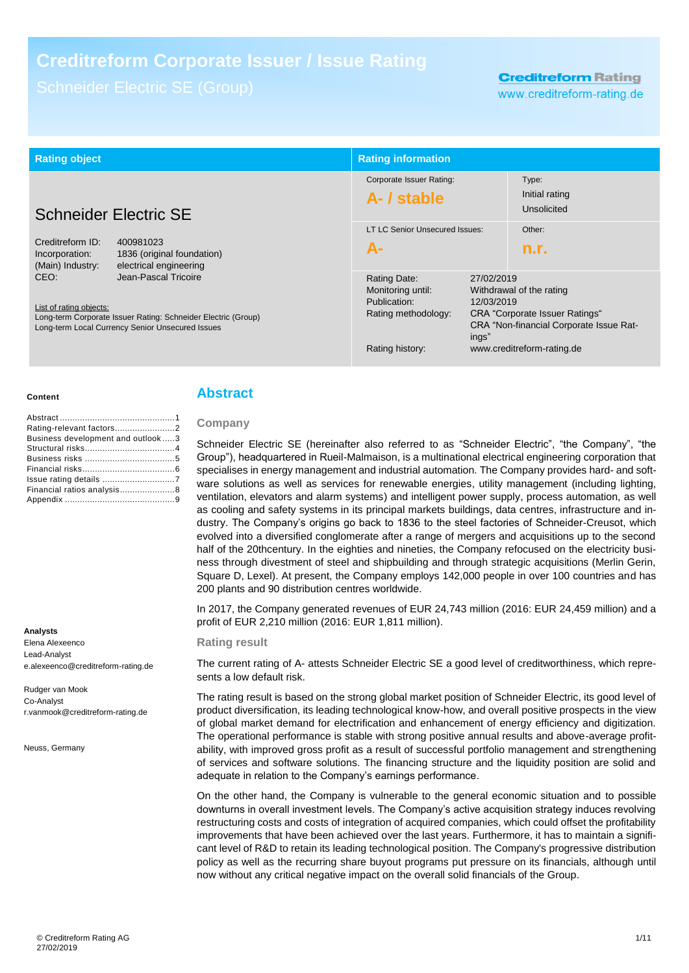# **Creditreform Corporate Issuer / Issue Rating**

# **Creditreform Rating**

www.creditreform-rating.de

| <b>Rating object</b>                                                                                                                                                                                                                                                                                        |  | <b>Rating information</b>                                                                   |                                                                                                                                                                                        |                                        |
|-------------------------------------------------------------------------------------------------------------------------------------------------------------------------------------------------------------------------------------------------------------------------------------------------------------|--|---------------------------------------------------------------------------------------------|----------------------------------------------------------------------------------------------------------------------------------------------------------------------------------------|----------------------------------------|
| <b>Schneider Electric SE</b>                                                                                                                                                                                                                                                                                |  | Corporate Issuer Rating:<br>A- / stable                                                     |                                                                                                                                                                                        | Type:<br>Initial rating<br>Unsolicited |
| Creditreform ID:<br>400981023<br>Incorporation:<br>1836 (original foundation)<br>electrical engineering<br>(Main) Industry:<br>Jean-Pascal Tricoire<br>CEO:<br>List of rating objects:<br>Long-term Corporate Issuer Rating: Schneider Electric (Group)<br>Long-term Local Currency Senior Unsecured Issues |  | LT LC Senior Unsecured Issues:<br>$A-$                                                      |                                                                                                                                                                                        | Other:<br>n.r.                         |
|                                                                                                                                                                                                                                                                                                             |  | Rating Date:<br>Monitoring until:<br>Publication:<br>Rating methodology:<br>Rating history: | 27/02/2019<br>Withdrawal of the rating<br>12/03/2019<br><b>CRA</b> "Corporate Issuer Ratings"<br><b>CRA "Non-financial Corporate Issue Rat-</b><br>ings"<br>www.creditreform-rating.de |                                        |

#### **Content**

| Business development and outlook3 |  |
|-----------------------------------|--|
|                                   |  |
|                                   |  |
|                                   |  |
|                                   |  |
| Financial ratios analysis8        |  |
|                                   |  |

#### **Analysts**

Elena Alexeenco Lead-Analyst e.alexeenco@creditreform-rating.de

Rudger van Mook Co-Analyst r.vanmook@creditreform-rating.de

Neuss, Germany

## **Abstract**

## **Company**

Schneider Electric SE (hereinafter also referred to as "Schneider Electric", "the Company", "the Group"), headquartered in Rueil-Malmaison, is a multinational electrical engineering corporation that specialises in energy management and industrial automation. The Company provides hard- and software solutions as well as services for renewable energies, utility management (including lighting, ventilation, elevators and alarm systems) and intelligent power supply, process automation, as well as cooling and safety systems in its principal markets buildings, data centres, infrastructure and industry. The Company's origins go back to 1836 to the steel factories of Schneider-Creusot, which evolved into a diversified conglomerate after a range of mergers and acquisitions up to the second half of the 20thcentury. In the eighties and nineties, the Company refocused on the electricity business through divestment of steel and shipbuilding and through strategic acquisitions (Merlin Gerin, Square D, Lexel). At present, the Company employs 142,000 people in over 100 countries and has 200 plants and 90 distribution centres worldwide.

In 2017, the Company generated revenues of EUR 24,743 million (2016: EUR 24,459 million) and a profit of EUR 2,210 million (2016: EUR 1,811 million).

#### **Rating result**

The current rating of A- attests Schneider Electric SE a good level of creditworthiness, which represents a low default risk.

The rating result is based on the strong global market position of Schneider Electric, its good level of product diversification, its leading technological know-how, and overall positive prospects in the view of global market demand for electrification and enhancement of energy efficiency and digitization. The operational performance is stable with strong positive annual results and above-average profitability, with improved gross profit as a result of successful portfolio management and strengthening of services and software solutions. The financing structure and the liquidity position are solid and adequate in relation to the Company's earnings performance.

On the other hand, the Company is vulnerable to the general economic situation and to possible downturns in overall investment levels. The Company's active acquisition strategy induces revolving restructuring costs and costs of integration of acquired companies, which could offset the profitability improvements that have been achieved over the last years. Furthermore, it has to maintain a significant level of R&D to retain its leading technological position. The Company's progressive distribution policy as well as the recurring share buyout programs put pressure on its financials, although until now without any critical negative impact on the overall solid financials of the Group.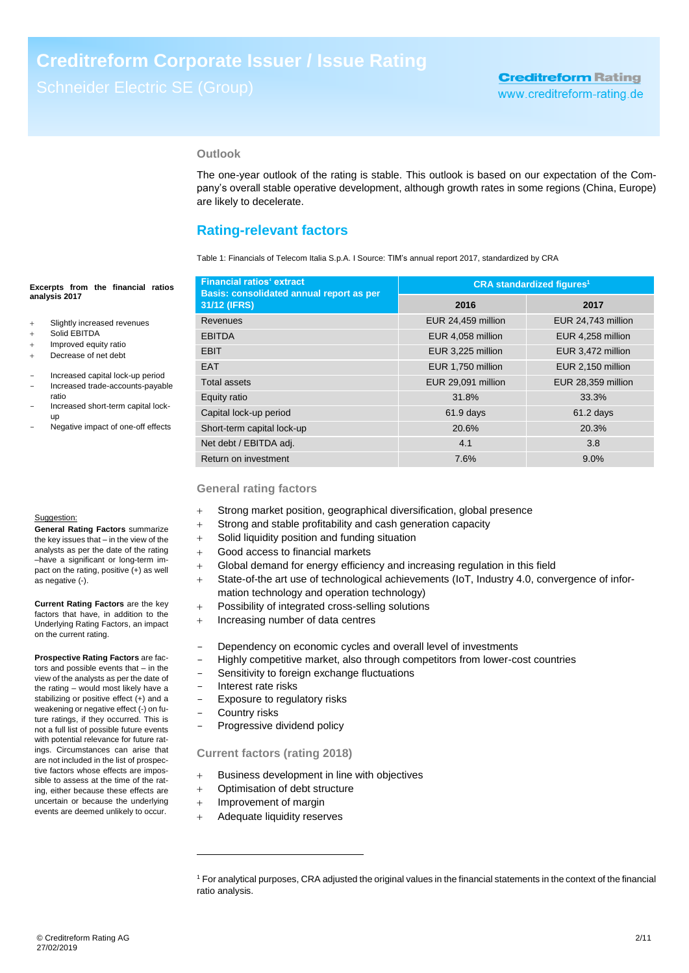## **Outlook**

The one-year outlook of the rating is stable. This outlook is based on our expectation of the Company's overall stable operative development, although growth rates in some regions (China, Europe) are likely to decelerate.

## **Rating-relevant factors**

Table 1: Financials of Telecom Italia S.p.A. I Source: TIM's annual report 2017, standardized by CRA

## **Financial ratios' extract Basis: consolidated annual report as per 31/12 (IFRS) CRA standardized figures<sup>1</sup> 2016 2017** Revenues EUR 24,459 million EUR 24,743 million EBITDA EUR 4,058 million EUR 4,258 million EUR 3,225 million EUR 1,472 million EAT EUR 1,750 million EUR 2,150 million Total assets **EUR 29,091 million** EUR 29,091 million **EUR 28,359 million** Equity ratio 31.8% 31.8% 33.3% Capital lock-up period 61.9 days 61.2 days 61.2 days Short-term capital lock-up 20.6% 20.6% 20.3% Net debt / EBITDA adj. 4.1 3.8 Return on investment 7.6% 9.0%

## **General rating factors**

- Strong market position, geographical diversification, global presence
- Strong and stable profitability and cash generation capacity
- Solid liquidity position and funding situation
- Good access to financial markets
- Global demand for energy efficiency and increasing regulation in this field
- State-of-the art use of technological achievements (IoT, Industry 4.0, convergence of information technology and operation technology)
- Possibility of integrated cross-selling solutions
- + Increasing number of data centres
- Dependency on economic cycles and overall level of investments
- Highly competitive market, also through competitors from lower-cost countries
- Sensitivity to foreign exchange fluctuations
- Interest rate risks
- Exposure to regulatory risks
- Country risks

-

Progressive dividend policy

## **Current factors (rating 2018)**

- + Business development in line with objectives
- Optimisation of debt structure
- + Improvement of margin
- Adequate liquidity reserves

#### **Excerpts from the financial ratios analysis 2017**

- Slightly increased revenues
- Solid EBITDA
- + Improved equity ratio
- Decrease of net debt
- Increased capital lock-up period
- Increased trade-accounts-payable ratio
- Increased short-term capital lockup
- Negative impact of one-off effects

#### Suggestion:

**General Rating Factors** summarize the key issues that – in the view of the analysts as per the date of the rating –have a significant or long-term impact on the rating, positive (+) as well as negative (-).

**Current Rating Factors** are the key factors that have, in addition to the Underlying Rating Factors, an impact on the current rating.

**Prospective Rating Factors** are factors and possible events that – in the view of the analysts as per the date of the rating – would most likely have a stabilizing or positive effect (+) and a weakening or negative effect (-) on future ratings, if they occurred. This is not a full list of possible future events with potential relevance for future ratings. Circumstances can arise that are not included in the list of prospective factors whose effects are impossible to assess at the time of the rating, either because these effects are uncertain or because the underlying events are deemed unlikely to occur.

<sup>1</sup> For analytical purposes, CRA adjusted the original values in the financial statements in the context of the financial ratio analysis.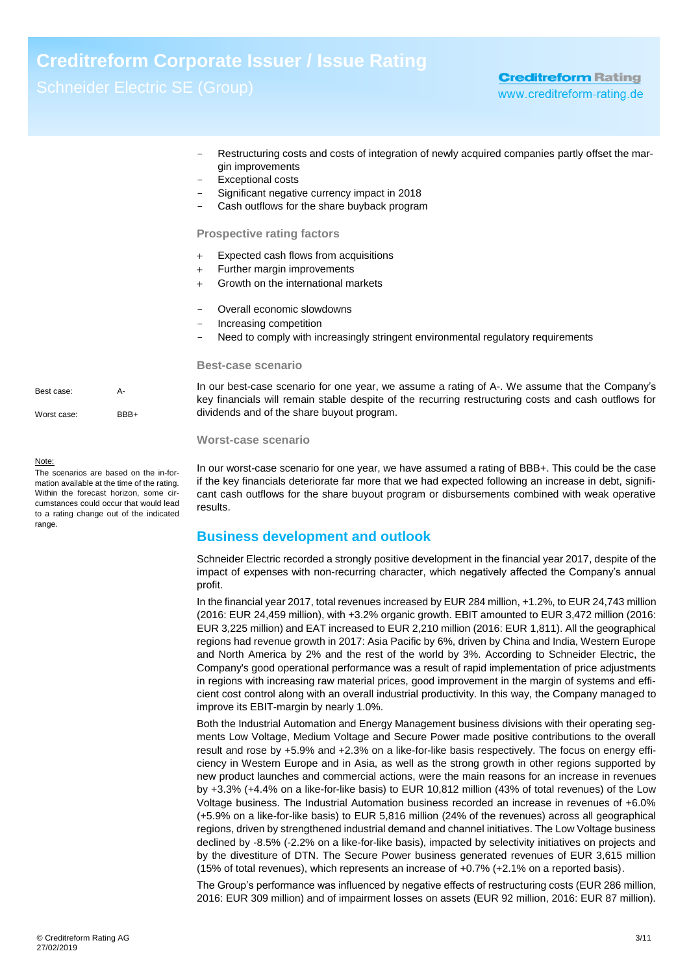# **Creditreform Corporate Issuer / Issue Rating**

- Restructuring costs and costs of integration of newly acquired companies partly offset the margin improvements
- Exceptional costs
- Significant negative currency impact in 2018
- Cash outflows for the share buyback program

## **Prospective rating factors**

- Expected cash flows from acquisitions
- $+$  Further margin improvements
- Growth on the international markets
- Overall economic slowdowns
- Increasing competition
- Need to comply with increasingly stringent environmental regulatory requirements

#### **Best-case scenario**

In our best-case scenario for one year, we assume a rating of A-. We assume that the Company's key financials will remain stable despite of the recurring restructuring costs and cash outflows for dividends and of the share buyout program.

## **Worst-case scenario**

<span id="page-2-0"></span>In our worst-case scenario for one year, we have assumed a rating of BBB+. This could be the case if the key financials deteriorate far more that we had expected following an increase in debt, significant cash outflows for the share buyout program or disbursements combined with weak operative results.

## **Business development and outlook**

Schneider Electric recorded a strongly positive development in the financial year 2017, despite of the impact of expenses with non-recurring character, which negatively affected the Company's annual profit.

In the financial year 2017, total revenues increased by EUR 284 million, +1.2%, to EUR 24,743 million (2016: EUR 24,459 million), with +3.2% organic growth. EBIT amounted to EUR 3,472 million (2016: EUR 3,225 million) and EAT increased to EUR 2,210 million (2016: EUR 1,811). All the geographical regions had revenue growth in 2017: Asia Pacific by 6%, driven by China and India, Western Europe and North America by 2% and the rest of the world by 3%. According to Schneider Electric, the Company's good operational performance was a result of rapid implementation of price adjustments in regions with increasing raw material prices, good improvement in the margin of systems and efficient cost control along with an overall industrial productivity. In this way, the Company managed to improve its EBIT-margin by nearly 1.0%.

Both the Industrial Automation and Energy Management business divisions with their operating segments Low Voltage, Medium Voltage and Secure Power made positive contributions to the overall result and rose by +5.9% and +2.3% on a like-for-like basis respectively. The focus on energy efficiency in Western Europe and in Asia, as well as the strong growth in other regions supported by new product launches and commercial actions, were the main reasons for an increase in revenues by +3.3% (+4.4% on a like-for-like basis) to EUR 10,812 million (43% of total revenues) of the Low Voltage business. The Industrial Automation business recorded an increase in revenues of +6.0% (+5.9% on a like-for-like basis) to EUR 5,816 million (24% of the revenues) across all geographical regions, driven by strengthened industrial demand and channel initiatives. The Low Voltage business declined by -8.5% (-2.2% on a like-for-like basis), impacted by selectivity initiatives on projects and by the divestiture of DTN. The Secure Power business generated revenues of EUR 3,615 million (15% of total revenues), which represents an increase of +0.7% (+2.1% on a reported basis).

The Group's performance was influenced by negative effects of restructuring costs (EUR 286 million, 2016: EUR 309 million) and of impairment losses on assets (EUR 92 million, 2016: EUR 87 million).

Best case: A-Worst case: BBB+

#### Note:

The scenarios are based on the in-formation available at the time of the rating. Within the forecast horizon, some circumstances could occur that would lead to a rating change out of the indicated range.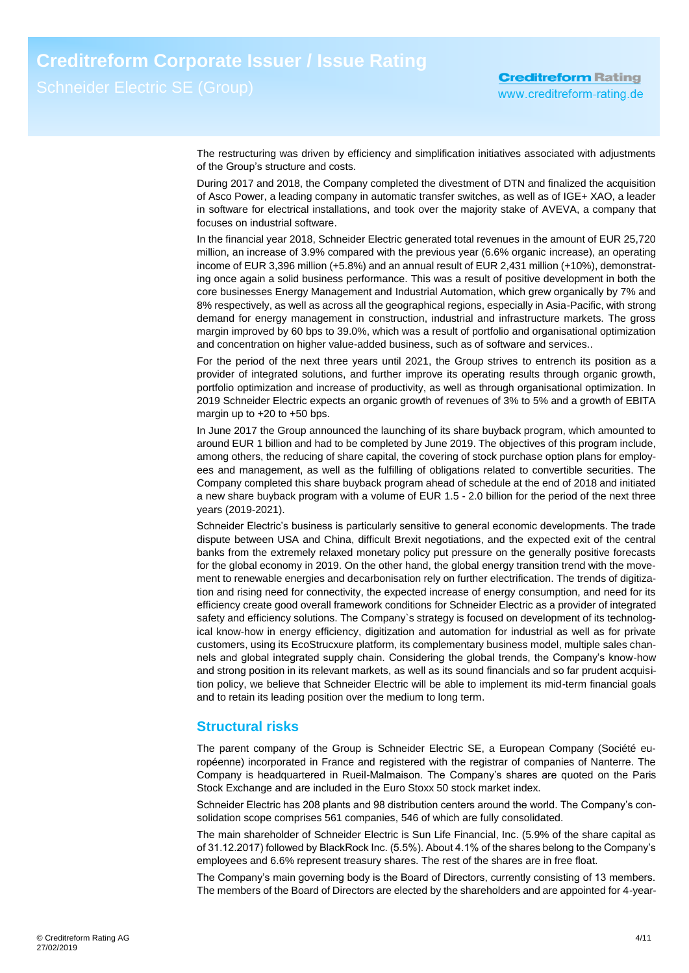The restructuring was driven by efficiency and simplification initiatives associated with adjustments of the Group's structure and costs.

During 2017 and 2018, the Company completed the divestment of DTN and finalized the acquisition of Asco Power, a leading company in automatic transfer switches, as well as of IGE+ XAO, a leader in software for electrical installations, and took over the majority stake of AVEVA, a company that focuses on industrial software.

In the financial year 2018, Schneider Electric generated total revenues in the amount of EUR 25,720 million, an increase of 3.9% compared with the previous year (6.6% organic increase), an operating income of EUR 3,396 million (+5.8%) and an annual result of EUR 2,431 million (+10%), demonstrating once again a solid business performance. This was a result of positive development in both the core businesses Energy Management and Industrial Automation, which grew organically by 7% and 8% respectively, as well as across all the geographical regions, especially in Asia-Pacific, with strong demand for energy management in construction, industrial and infrastructure markets. The gross margin improved by 60 bps to 39.0%, which was a result of portfolio and organisational optimization and concentration on higher value-added business, such as of software and services..

For the period of the next three years until 2021, the Group strives to entrench its position as a provider of integrated solutions, and further improve its operating results through organic growth, portfolio optimization and increase of productivity, as well as through organisational optimization. In 2019 Schneider Electric expects an organic growth of revenues of 3% to 5% and a growth of EBITA margin up to +20 to +50 bps.

In June 2017 the Group announced the launching of its share buyback program, which amounted to around EUR 1 billion and had to be completed by June 2019. The objectives of this program include, among others, the reducing of share capital, the covering of stock purchase option plans for employees and management, as well as the fulfilling of obligations related to convertible securities. The Company completed this share buyback program ahead of schedule at the end of 2018 and initiated a new share buyback program with a volume of EUR 1.5 - 2.0 billion for the period of the next three years (2019-2021).

Schneider Electric's business is particularly sensitive to general economic developments. The trade dispute between USA and China, difficult Brexit negotiations, and the expected exit of the central banks from the extremely relaxed monetary policy put pressure on the generally positive forecasts for the global economy in 2019. On the other hand, the global energy transition trend with the movement to renewable energies and decarbonisation rely on further electrification. The trends of digitization and rising need for connectivity, the expected increase of energy consumption, and need for its efficiency create good overall framework conditions for Schneider Electric as a provider of integrated safety and efficiency solutions. The Company`s strategy is focused on development of its technological know-how in energy efficiency, digitization and automation for industrial as well as for private customers, using its EcoStrucxure platform, its complementary business model, multiple sales channels and global integrated supply chain. Considering the global trends, the Company's know-how and strong position in its relevant markets, as well as its sound financials and so far prudent acquisition policy, we believe that Schneider Electric will be able to implement its mid-term financial goals and to retain its leading position over the medium to long term.

## **Structural risks**

The parent company of the Group is Schneider Electric SE, a European Company (Société européenne) incorporated in France and registered with the registrar of companies of Nanterre. The Company is headquartered in Rueil-Malmaison. The Company's shares are quoted on the Paris Stock Exchange and are included in the Euro Stoxx 50 stock market index.

Schneider Electric has 208 plants and 98 distribution centers around the world. The Company's consolidation scope comprises 561 companies, 546 of which are fully consolidated.

The main shareholder of Schneider Electric is Sun Life Financial, Inc. (5.9% of the share capital as of 31.12.2017) followed by BlackRock Inc. (5.5%). About 4.1% of the shares belong to the Company's employees and 6.6% represent treasury shares. The rest of the shares are in free float.

The Company's main governing body is the Board of Directors, currently consisting of 13 members. The members of the Board of Directors are elected by the shareholders and are appointed for 4-year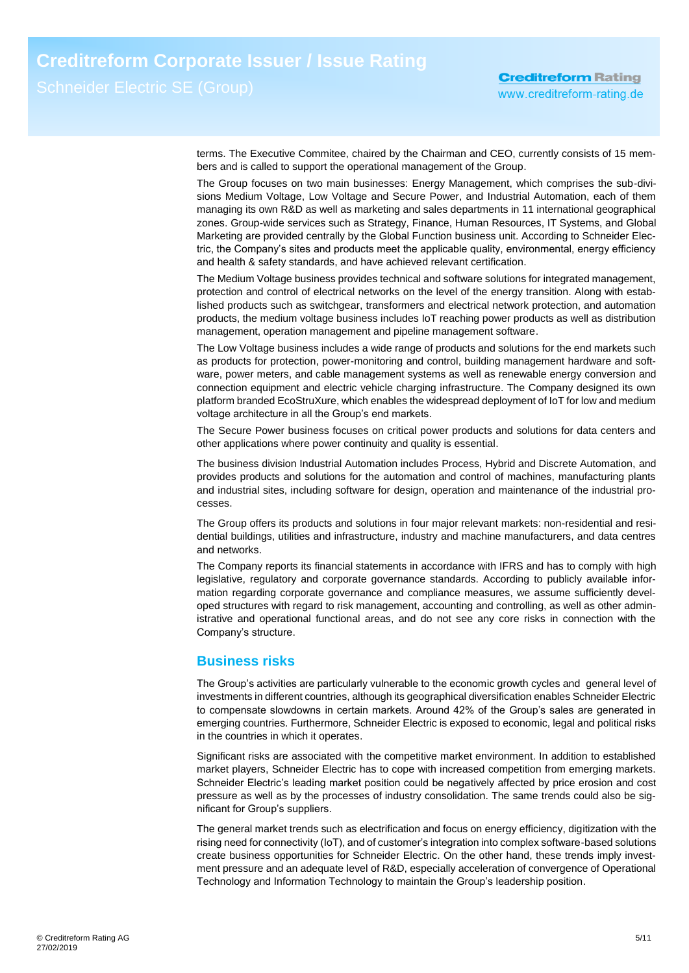terms. The Executive Commitee, chaired by the Chairman and CEO, currently consists of 15 members and is called to support the operational management of the Group.

The Group focuses on two main businesses: Energy Management, which comprises the sub-divisions Medium Voltage, Low Voltage and Secure Power, and Industrial Automation, each of them managing its own R&D as well as marketing and sales departments in 11 international geographical zones. Group-wide services such as Strategy, Finance, Human Resources, IT Systems, and Global Marketing are provided centrally by the Global Function business unit. According to Schneider Electric, the Company's sites and products meet the applicable quality, environmental, energy efficiency and health & safety standards, and have achieved relevant certification.

The Medium Voltage business provides technical and software solutions for integrated management, protection and control of electrical networks on the level of the energy transition. Along with established products such as switchgear, transformers and electrical network protection, and automation products, the medium voltage business includes IoT reaching power products as well as distribution management, operation management and pipeline management software.

The Low Voltage business includes a wide range of products and solutions for the end markets such as products for protection, power-monitoring and control, building management hardware and software, power meters, and cable management systems as well as renewable energy conversion and connection equipment and electric vehicle charging infrastructure. The Company designed its own platform branded EcoStruXure, which enables the widespread deployment of IoT for low and medium voltage architecture in all the Group's end markets.

The Secure Power business focuses on critical power products and solutions for data centers and other applications where power continuity and quality is essential.

The business division Industrial Automation includes Process, Hybrid and Discrete Automation, and provides products and solutions for the automation and control of machines, manufacturing plants and industrial sites, including software for design, operation and maintenance of the industrial processes.

The Group offers its products and solutions in four major relevant markets: non-residential and residential buildings, utilities and infrastructure, industry and machine manufacturers, and data centres and networks.

The Company reports its financial statements in accordance with IFRS and has to comply with high legislative, regulatory and corporate governance standards. According to publicly available information regarding corporate governance and compliance measures, we assume sufficiently developed structures with regard to risk management, accounting and controlling, as well as other administrative and operational functional areas, and do not see any core risks in connection with the Company's structure.

## <span id="page-4-0"></span>**Business risks**

The Group's activities are particularly vulnerable to the economic growth cycles and general level of investments in different countries, although its geographical diversification enables Schneider Electric to compensate slowdowns in certain markets. Around 42% of the Group's sales are generated in emerging countries. Furthermore, Schneider Electric is exposed to economic, legal and political risks in the countries in which it operates.

Significant risks are associated with the competitive market environment. In addition to established market players, Schneider Electric has to cope with increased competition from emerging markets. Schneider Electric's leading market position could be negatively affected by price erosion and cost pressure as well as by the processes of industry consolidation. The same trends could also be significant for Group's suppliers.

The general market trends such as electrification and focus on energy efficiency, digitization with the rising need for connectivity (IoT), and of customer's integration into complex software-based solutions create business opportunities for Schneider Electric. On the other hand, these trends imply investment pressure and an adequate level of R&D, especially acceleration of convergence of Operational Technology and Information Technology to maintain the Group's leadership position.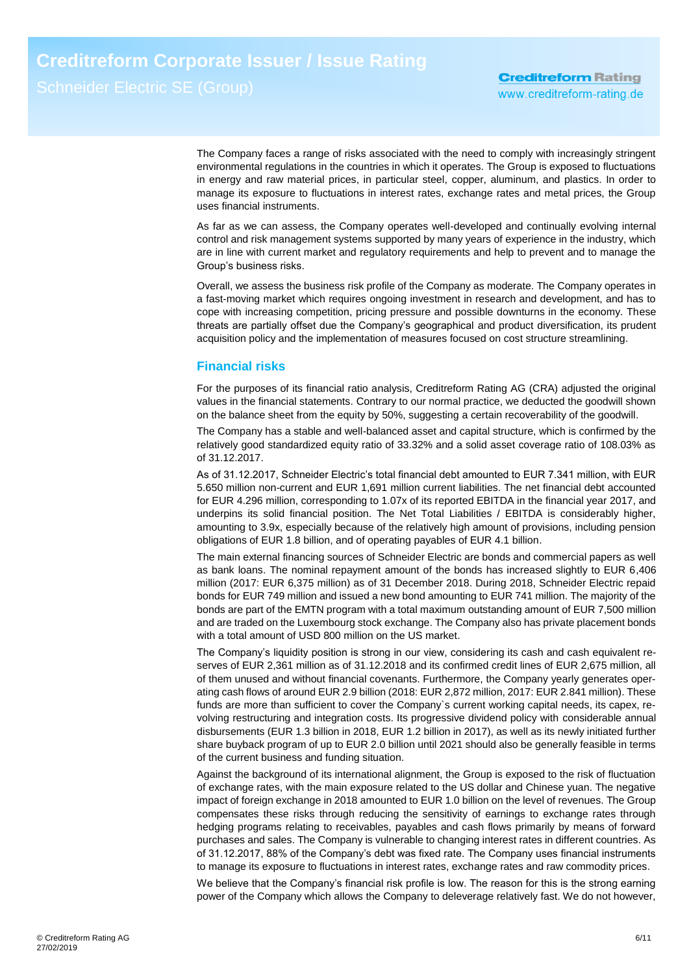The Company faces a range of risks associated with the need to comply with increasingly stringent environmental regulations in the countries in which it operates. The Group is exposed to fluctuations in energy and raw material prices, in particular steel, copper, aluminum, and plastics. In order to manage its exposure to fluctuations in interest rates, exchange rates and metal prices, the Group uses financial instruments.

As far as we can assess, the Company operates well-developed and continually evolving internal control and risk management systems supported by many years of experience in the industry, which are in line with current market and regulatory requirements and help to prevent and to manage the Group's business risks.

Overall, we assess the business risk profile of the Company as moderate. The Company operates in a fast-moving market which requires ongoing investment in research and development, and has to cope with increasing competition, pricing pressure and possible downturns in the economy. These threats are partially offset due the Company's geographical and product diversification, its prudent acquisition policy and the implementation of measures focused on cost structure streamlining.

## <span id="page-5-0"></span>**Financial risks**

For the purposes of its financial ratio analysis, Creditreform Rating AG (CRA) adjusted the original values in the financial statements. Contrary to our normal practice, we deducted the goodwill shown on the balance sheet from the equity by 50%, suggesting a certain recoverability of the goodwill.

The Company has a stable and well-balanced asset and capital structure, which is confirmed by the relatively good standardized equity ratio of 33.32% and a solid asset coverage ratio of 108.03% as of 31.12.2017.

As of 31.12.2017, Schneider Electric's total financial debt amounted to EUR 7.341 million, with EUR 5.650 million non-current and EUR 1,691 million current liabilities. The net financial debt accounted for EUR 4.296 million, corresponding to 1.07x of its reported EBITDA in the financial year 2017, and underpins its solid financial position. The Net Total Liabilities / EBITDA is considerably higher, amounting to 3.9x, especially because of the relatively high amount of provisions, including pension obligations of EUR 1.8 billion, and of operating payables of EUR 4.1 billion.

The main external financing sources of Schneider Electric are bonds and commercial papers as well as bank loans. The nominal repayment amount of the bonds has increased slightly to EUR 6,406 million (2017: EUR 6,375 million) as of 31 December 2018. During 2018, Schneider Electric repaid bonds for EUR 749 million and issued a new bond amounting to EUR 741 million. The majority of the bonds are part of the EMTN program with a total maximum outstanding amount of EUR 7,500 million and are traded on the Luxembourg stock exchange. The Company also has private placement bonds with a total amount of USD 800 million on the US market.

The Company's liquidity position is strong in our view, considering its cash and cash equivalent reserves of EUR 2,361 million as of 31.12.2018 and its confirmed credit lines of EUR 2,675 million, all of them unused and without financial covenants. Furthermore, the Company yearly generates operating cash flows of around EUR 2.9 billion (2018: EUR 2,872 million, 2017: EUR 2.841 million). These funds are more than sufficient to cover the Company`s current working capital needs, its capex, revolving restructuring and integration costs. Its progressive dividend policy with considerable annual disbursements (EUR 1.3 billion in 2018, EUR 1.2 billion in 2017), as well as its newly initiated further share buyback program of up to EUR 2.0 billion until 2021 should also be generally feasible in terms of the current business and funding situation.

Against the background of its international alignment, the Group is exposed to the risk of fluctuation of exchange rates, with the main exposure related to the US dollar and Chinese yuan. The negative impact of foreign exchange in 2018 amounted to EUR 1.0 billion on the level of revenues. The Group compensates these risks through reducing the sensitivity of earnings to exchange rates through hedging programs relating to receivables, payables and cash flows primarily by means of forward purchases and sales. The Company is vulnerable to changing interest rates in different countries. As of 31.12.2017, 88% of the Company's debt was fixed rate. The Company uses financial instruments to manage its exposure to fluctuations in interest rates, exchange rates and raw commodity prices.

We believe that the Company's financial risk profile is low. The reason for this is the strong earning power of the Company which allows the Company to deleverage relatively fast. We do not however,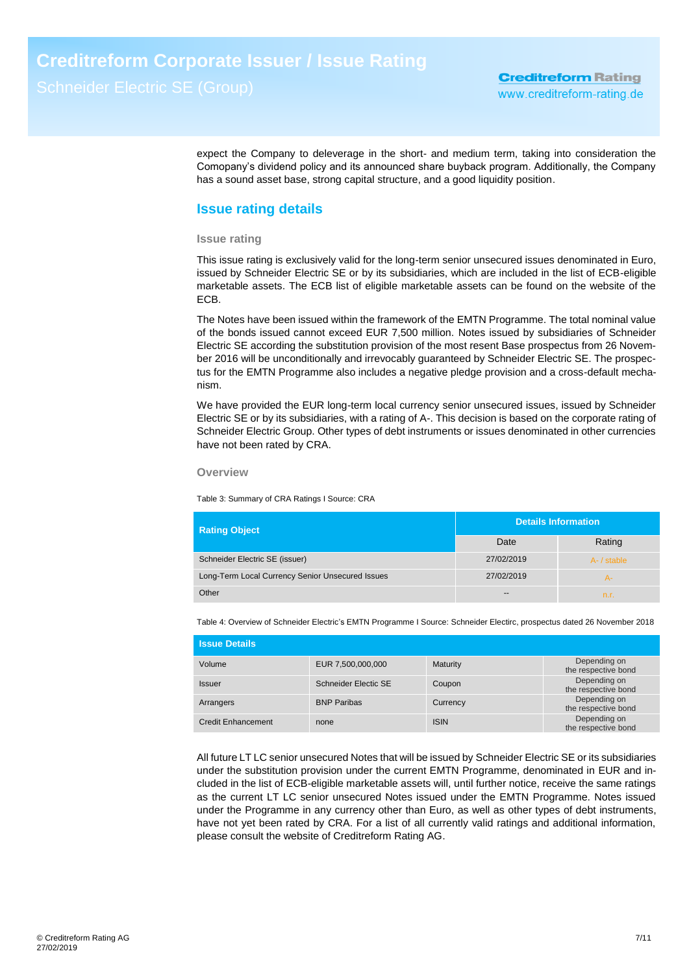expect the Company to deleverage in the short- and medium term, taking into consideration the Comopany's dividend policy and its announced share buyback program. Additionally, the Company has a sound asset base, strong capital structure, and a good liquidity position.

## **Issue rating details**

## **Issue rating**

This issue rating is exclusively valid for the long-term senior unsecured issues denominated in Euro, issued by Schneider Electric SE or by its subsidiaries, which are included in the list of ECB-eligible marketable assets. The ECB list of eligible marketable assets can be found on the website of the ECB.

The Notes have been issued within the framework of the EMTN Programme. The total nominal value of the bonds issued cannot exceed EUR 7,500 million. Notes issued by subsidiaries of Schneider Electric SE according the substitution provision of the most resent Base prospectus from 26 November 2016 will be unconditionally and irrevocably guaranteed by Schneider Electric SE. The prospectus for the EMTN Programme also includes a negative pledge provision and a cross-default mechanism.

We have provided the EUR long-term local currency senior unsecured issues, issued by Schneider Electric SE or by its subsidiaries, with a rating of A-. This decision is based on the corporate rating of Schneider Electric Group. Other types of debt instruments or issues denominated in other currencies have not been rated by CRA.

## **Overview**

Table 3: Summary of CRA Ratings I Source: CRA

| <b>Rating Object</b>                             | <b>Details Information</b> |             |  |
|--------------------------------------------------|----------------------------|-------------|--|
|                                                  | Date                       | Rating      |  |
| Schneider Electric SE (issuer)                   | 27/02/2019                 | A- / stable |  |
| Long-Term Local Currency Senior Unsecured Issues | 27/02/2019                 | А-          |  |
| Other                                            | $- -$                      | n.r.        |  |

Table 4: Overview of Schneider Electric's EMTN Programme I Source: Schneider Electirc, prospectus dated 26 November 2018

| <b>Issue Details</b>      |                      |             |                                     |  |  |  |
|---------------------------|----------------------|-------------|-------------------------------------|--|--|--|
| Volume                    | EUR 7,500,000,000    | Maturity    | Depending on<br>the respective bond |  |  |  |
| <b>Issuer</b>             | Schneider Electic SE | Coupon      | Depending on<br>the respective bond |  |  |  |
| Arrangers                 | <b>BNP Paribas</b>   | Currency    | Depending on<br>the respective bond |  |  |  |
| <b>Credit Enhancement</b> | none                 | <b>ISIN</b> | Depending on<br>the respective bond |  |  |  |

All future LT LC senior unsecured Notes that will be issued by Schneider Electric SE or its subsidiaries under the substitution provision under the current EMTN Programme, denominated in EUR and included in the list of ECB-eligible marketable assets will, until further notice, receive the same ratings as the current LT LC senior unsecured Notes issued under the EMTN Programme. Notes issued under the Programme in any currency other than Euro, as well as other types of debt instruments, have not yet been rated by CRA. For a list of all currently valid ratings and additional information, please consult the website of Creditreform Rating AG.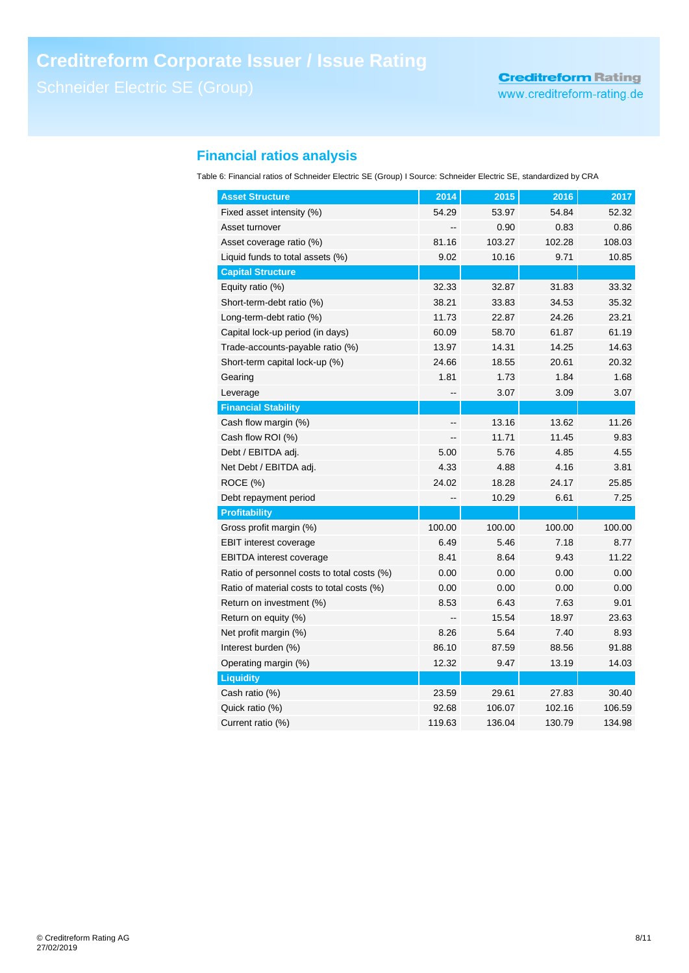## **Financial ratios analysis**

Table 6: Financial ratios of Schneider Electric SE (Group) I Source: Schneider Electric SE, standardized by CRA

| <b>Asset Structure</b>                      | 2014   | 2015   | 2016   | 2017   |
|---------------------------------------------|--------|--------|--------|--------|
| Fixed asset intensity (%)                   | 54.29  | 53.97  | 54.84  | 52.32  |
| Asset turnover                              |        | 0.90   | 0.83   | 0.86   |
| Asset coverage ratio (%)                    | 81.16  | 103.27 | 102.28 | 108.03 |
| Liquid funds to total assets (%)            | 9.02   | 10.16  | 9.71   | 10.85  |
| <b>Capital Structure</b>                    |        |        |        |        |
| Equity ratio (%)                            | 32.33  | 32.87  | 31.83  | 33.32  |
| Short-term-debt ratio (%)                   | 38.21  | 33.83  | 34.53  | 35.32  |
| Long-term-debt ratio (%)                    | 11.73  | 22.87  | 24.26  | 23.21  |
| Capital lock-up period (in days)            | 60.09  | 58.70  | 61.87  | 61.19  |
| Trade-accounts-payable ratio (%)            | 13.97  | 14.31  | 14.25  | 14.63  |
| Short-term capital lock-up (%)              | 24.66  | 18.55  | 20.61  | 20.32  |
| Gearing                                     | 1.81   | 1.73   | 1.84   | 1.68   |
| Leverage                                    |        | 3.07   | 3.09   | 3.07   |
| <b>Financial Stability</b>                  |        |        |        |        |
| Cash flow margin (%)                        | --     | 13.16  | 13.62  | 11.26  |
| Cash flow ROI (%)                           |        | 11.71  | 11.45  | 9.83   |
| Debt / EBITDA adj.                          | 5.00   | 5.76   | 4.85   | 4.55   |
| Net Debt / EBITDA adj.                      | 4.33   | 4.88   | 4.16   | 3.81   |
| ROCE (%)                                    | 24.02  | 18.28  | 24.17  | 25.85  |
| Debt repayment period                       | --     | 10.29  | 6.61   | 7.25   |
| <b>Profitability</b>                        |        |        |        |        |
| Gross profit margin (%)                     | 100.00 | 100.00 | 100.00 | 100.00 |
| <b>EBIT</b> interest coverage               | 6.49   | 5.46   | 7.18   | 8.77   |
| <b>EBITDA</b> interest coverage             | 8.41   | 8.64   | 9.43   | 11.22  |
| Ratio of personnel costs to total costs (%) | 0.00   | 0.00   | 0.00   | 0.00   |
| Ratio of material costs to total costs (%)  | 0.00   | 0.00   | 0.00   | 0.00   |
| Return on investment (%)                    | 8.53   | 6.43   | 7.63   | 9.01   |
| Return on equity (%)                        |        | 15.54  | 18.97  | 23.63  |
| Net profit margin (%)                       | 8.26   | 5.64   | 7.40   | 8.93   |
| Interest burden (%)                         | 86.10  | 87.59  | 88.56  | 91.88  |
| Operating margin (%)                        | 12.32  | 9.47   | 13.19  | 14.03  |
| <b>Liquidity</b>                            |        |        |        |        |
| Cash ratio (%)                              | 23.59  | 29.61  | 27.83  | 30.40  |
| Quick ratio (%)                             | 92.68  | 106.07 | 102.16 | 106.59 |
| Current ratio (%)                           | 119.63 | 136.04 | 130.79 | 134.98 |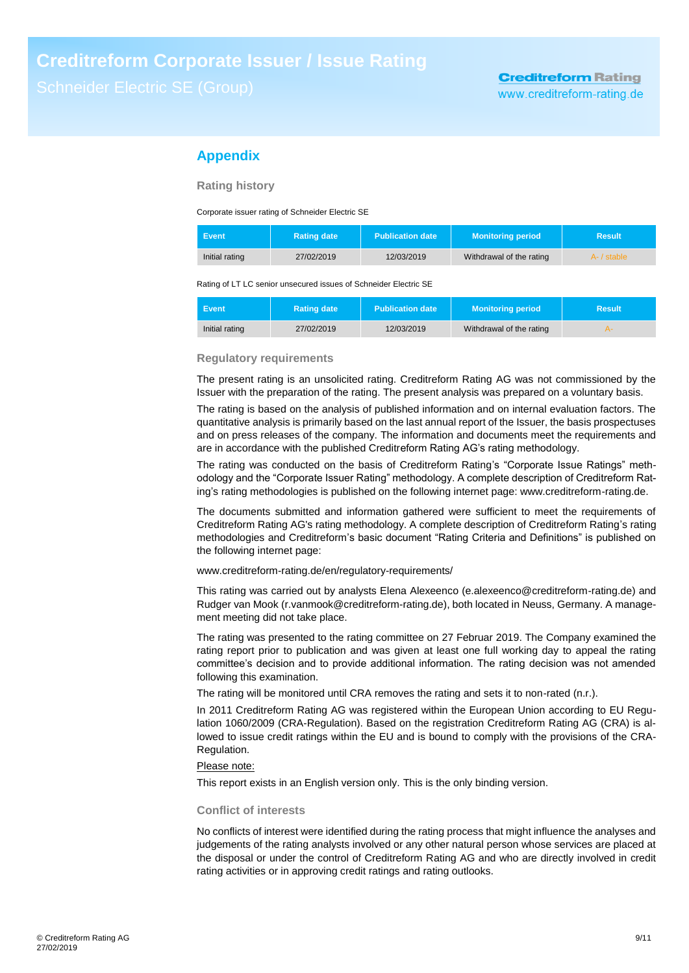## **Appendix**

**Rating history**

Corporate issuer rating of Schneider Electric SE

| Event          | <b>Rating date</b> | <b>Publication date</b> | <b>Monitoring period</b> | <b>Result</b> |
|----------------|--------------------|-------------------------|--------------------------|---------------|
| Initial rating | 27/02/2019         | 12/03/2019              | Withdrawal of the rating | A- / stable   |

Rating of LT LC senior unsecured issues of Schneider Electric SE

| <b>Event</b>   | <b>Rating date</b> | <b>Publication date</b> | <b>Monitoring period</b> | Result |
|----------------|--------------------|-------------------------|--------------------------|--------|
| Initial rating | 27/02/2019         | 12/03/2019              | Withdrawal of the rating |        |

## **Regulatory requirements**

The present rating is an unsolicited rating. Creditreform Rating AG was not commissioned by the Issuer with the preparation of the rating. The present analysis was prepared on a voluntary basis.

The rating is based on the analysis of published information and on internal evaluation factors. The quantitative analysis is primarily based on the last annual report of the Issuer, the basis prospectuses and on press releases of the company. The information and documents meet the requirements and are in accordance with the published Creditreform Rating AG's rating methodology.

The rating was conducted on the basis of Creditreform Rating's "Corporate Issue Ratings" methodology and the "Corporate Issuer Rating" methodology. A complete description of Creditreform Rating's rating methodologies is published on the following internet page: www.creditreform-rating.de.

The documents submitted and information gathered were sufficient to meet the requirements of Creditreform Rating AG's rating methodology. A complete description of Creditreform Rating's rating methodologies and Creditreform's basic document "Rating Criteria and Definitions" is published on the following internet page:

www.creditreform-rating.de/en/regulatory-requirements/

This rating was carried out by analysts Elena Alexeenco (e.alexeenco@creditreform-rating.de) and Rudger van Mook (r.vanmook@creditreform-rating.de), both located in Neuss, Germany. A management meeting did not take place.

The rating was presented to the rating committee on 27 Februar 2019. The Company examined the rating report prior to publication and was given at least one full working day to appeal the rating committee's decision and to provide additional information. The rating decision was not amended following this examination.

The rating will be monitored until CRA removes the rating and sets it to non-rated (n.r.).

In 2011 Creditreform Rating AG was registered within the European Union according to EU Regulation 1060/2009 (CRA-Regulation). Based on the registration Creditreform Rating AG (CRA) is allowed to issue credit ratings within the EU and is bound to comply with the provisions of the CRA-Regulation.

## Please note:

This report exists in an English version only. This is the only binding version.

## **Conflict of interests**

No conflicts of interest were identified during the rating process that might influence the analyses and judgements of the rating analysts involved or any other natural person whose services are placed at the disposal or under the control of Creditreform Rating AG and who are directly involved in credit rating activities or in approving credit ratings and rating outlooks.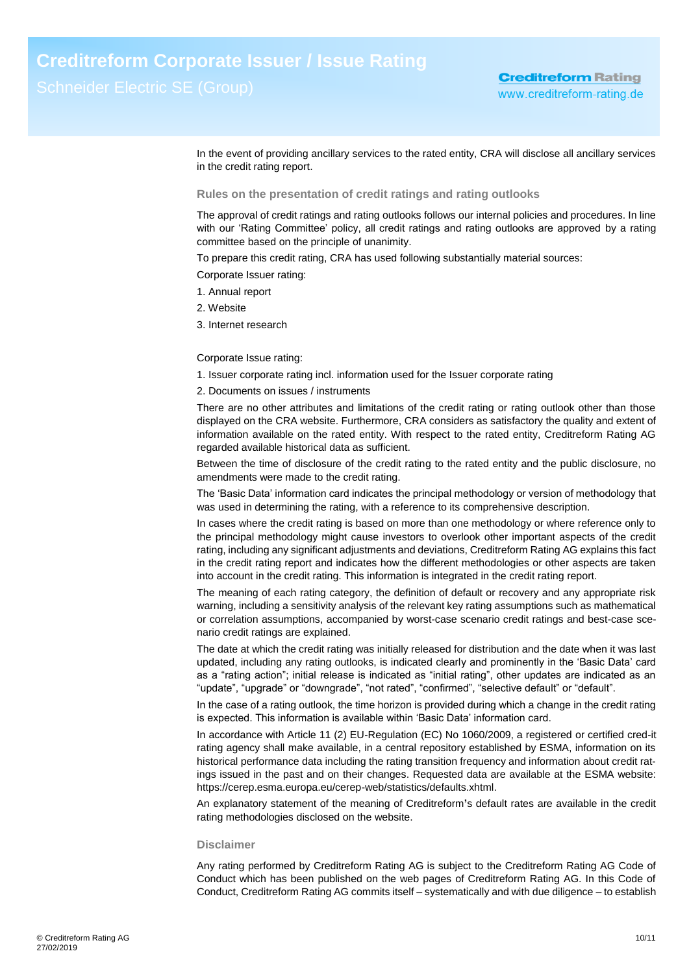In the event of providing ancillary services to the rated entity, CRA will disclose all ancillary services in the credit rating report.

## **Rules on the presentation of credit ratings and rating outlooks**

The approval of credit ratings and rating outlooks follows our internal policies and procedures. In line with our 'Rating Committee' policy, all credit ratings and rating outlooks are approved by a rating committee based on the principle of unanimity.

To prepare this credit rating, CRA has used following substantially material sources:

Corporate Issuer rating:

- 1. Annual report
- 2. Website
- 3. Internet research

## Corporate Issue rating:

- 1. Issuer corporate rating incl. information used for the Issuer corporate rating
- 2. Documents on issues / instruments

There are no other attributes and limitations of the credit rating or rating outlook other than those displayed on the CRA website. Furthermore, CRA considers as satisfactory the quality and extent of information available on the rated entity. With respect to the rated entity, Creditreform Rating AG regarded available historical data as sufficient.

Between the time of disclosure of the credit rating to the rated entity and the public disclosure, no amendments were made to the credit rating.

The 'Basic Data' information card indicates the principal methodology or version of methodology that was used in determining the rating, with a reference to its comprehensive description.

In cases where the credit rating is based on more than one methodology or where reference only to the principal methodology might cause investors to overlook other important aspects of the credit rating, including any significant adjustments and deviations, Creditreform Rating AG explains this fact in the credit rating report and indicates how the different methodologies or other aspects are taken into account in the credit rating. This information is integrated in the credit rating report.

The meaning of each rating category, the definition of default or recovery and any appropriate risk warning, including a sensitivity analysis of the relevant key rating assumptions such as mathematical or correlation assumptions, accompanied by worst-case scenario credit ratings and best-case scenario credit ratings are explained.

The date at which the credit rating was initially released for distribution and the date when it was last updated, including any rating outlooks, is indicated clearly and prominently in the 'Basic Data' card as a "rating action"; initial release is indicated as "initial rating", other updates are indicated as an "update", "upgrade" or "downgrade", "not rated", "confirmed", "selective default" or "default".

In the case of a rating outlook, the time horizon is provided during which a change in the credit rating is expected. This information is available within 'Basic Data' information card.

In accordance with Article 11 (2) EU-Regulation (EC) No 1060/2009, a registered or certified cred-it rating agency shall make available, in a central repository established by ESMA, information on its historical performance data including the rating transition frequency and information about credit ratings issued in the past and on their changes. Requested data are available at the ESMA website: https://cerep.esma.europa.eu/cerep-web/statistics/defaults.xhtml.

An explanatory statement of the meaning of Creditreform**'**s default rates are available in the credit rating methodologies disclosed on the website.

#### **Disclaimer**

Any rating performed by Creditreform Rating AG is subject to the Creditreform Rating AG Code of Conduct which has been published on the web pages of Creditreform Rating AG. In this Code of Conduct, Creditreform Rating AG commits itself – systematically and with due diligence – to establish